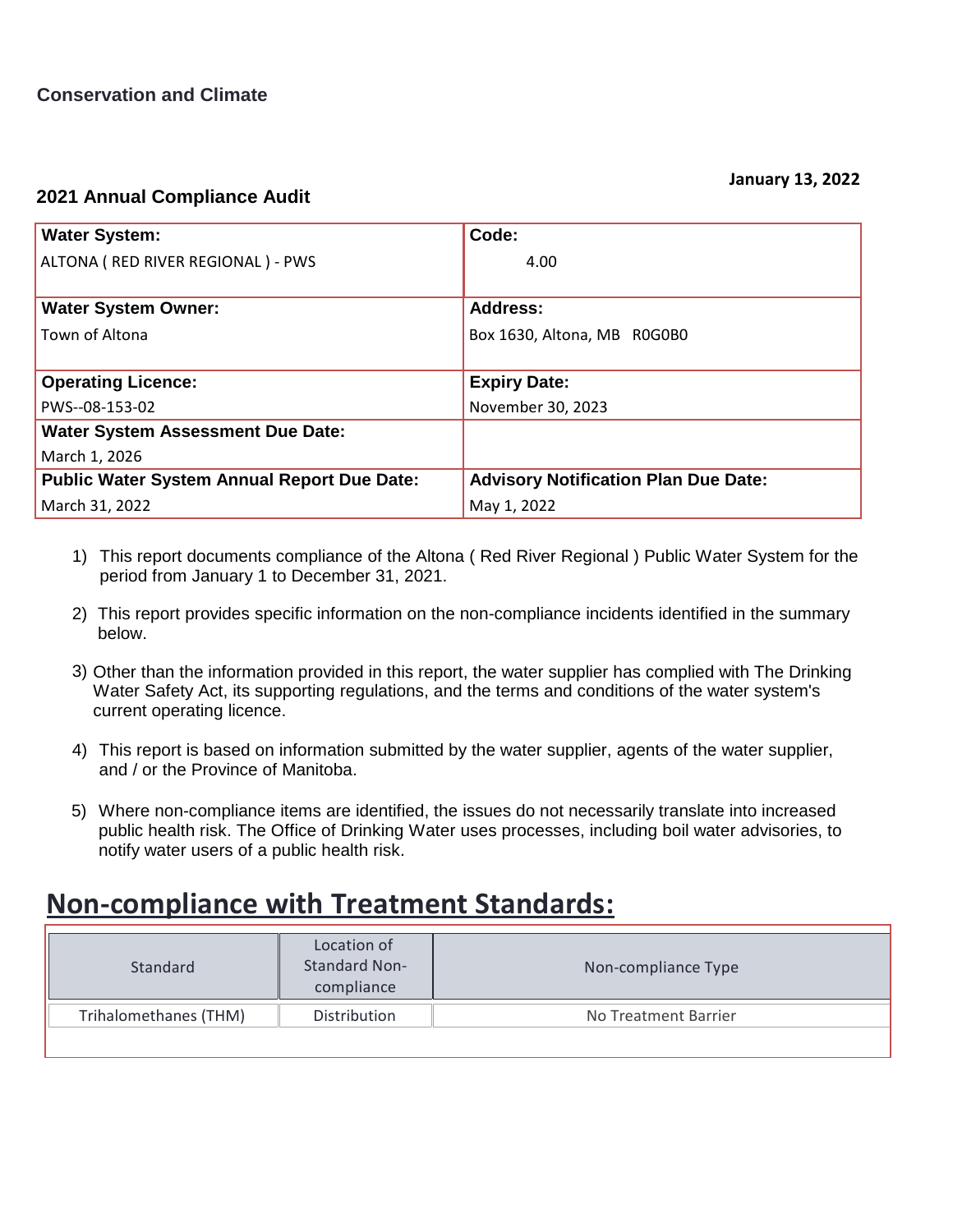## **2021 Annual Compliance Audit**

| <b>Water System:</b>                               | Code:                                       |
|----------------------------------------------------|---------------------------------------------|
| ALTONA ( RED RIVER REGIONAL ) - PWS                | 4.00                                        |
|                                                    |                                             |
| <b>Water System Owner:</b>                         | <b>Address:</b>                             |
| Town of Altona                                     | Box 1630, Altona, MB R0G0B0                 |
|                                                    |                                             |
| <b>Operating Licence:</b>                          | <b>Expiry Date:</b>                         |
| PWS--08-153-02                                     | November 30, 2023                           |
| <b>Water System Assessment Due Date:</b>           |                                             |
| March 1, 2026                                      |                                             |
| <b>Public Water System Annual Report Due Date:</b> | <b>Advisory Notification Plan Due Date:</b> |
| March 31, 2022                                     | May 1, 2022                                 |

- This report documents compliance of the Altona ( Red River Regional ) Public Water System for the 1) period from January 1 to December 31, 2021.
- 2) This report provides specific information on the non-compliance incidents identified in the summary below.
- 3) Other than the information provided in this report, the water supplier has complied with The Drinking Water Safety Act, its supporting regulations, and the terms and conditions of the water system's current operating licence.
- This report is based on information submitted by the water supplier, agents of the water supplier, 4) and / or the Province of Manitoba.
- Where non-compliance items are identified, the issues do not necessarily translate into increased 5) public health risk. The Office of Drinking Water uses processes, including boil water advisories, to notify water users of a public health risk.

## **Non-compliance with Treatment Standards:**

| Standard              | Location of<br><b>Standard Non-</b><br>compliance | Non-compliance Type  |
|-----------------------|---------------------------------------------------|----------------------|
| Trihalomethanes (THM) | Distribution                                      | No Treatment Barrier |